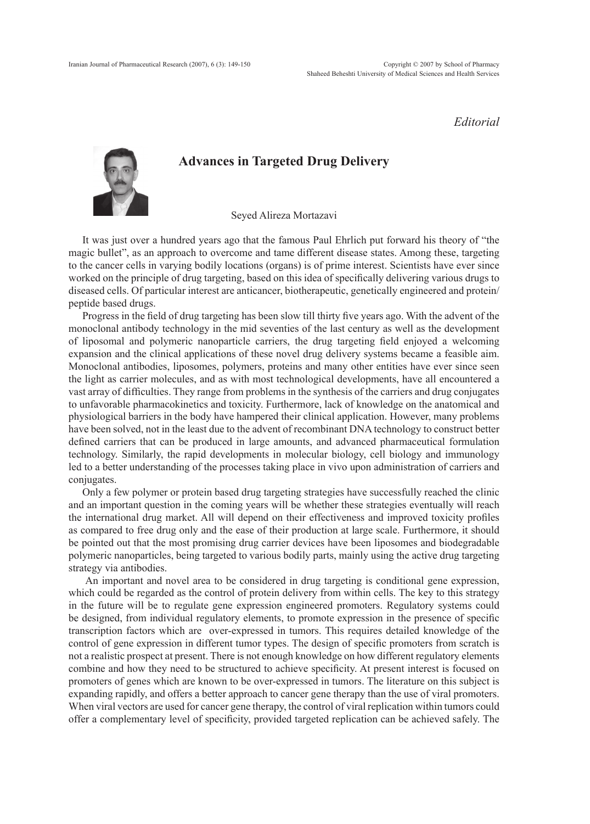## *Editorial*



## **Advances in Targeted Drug Delivery**

Seyed Alireza Mortazavi

It was just over a hundred years ago that the famous Paul Ehrlich put forward his theory of "the magic bullet", as an approach to overcome and tame different disease states. Among these, targeting to the cancer cells in varying bodily locations (organs) is of prime interest. Scientists have ever since worked on the principle of drug targeting, based on this idea of specifically delivering various drugs to diseased cells. Of particular interest are anticancer, biotherapeutic, genetically engineered and protein/ peptide based drugs.

Progress in the field of drug targeting has been slow till thirty five years ago. With the advent of the monoclonal antibody technology in the mid seventies of the last century as well as the development of liposomal and polymeric nanoparticle carriers, the drug targeting field enjoyed a welcoming expansion and the clinical applications of these novel drug delivery systems became a feasible aim. Monoclonal antibodies, liposomes, polymers, proteins and many other entities have ever since seen the light as carrier molecules, and as with most technological developments, have all encountered a vast array of difficulties. They range from problems in the synthesis of the carriers and drug conjugates to unfavorable pharmacokinetics and toxicity. Furthermore, lack of knowledge on the anatomical and physiological barriers in the body have hampered their clinical application. However, many problems have been solved, not in the least due to the advent of recombinant DNA technology to construct better defined carriers that can be produced in large amounts, and advanced pharmaceutical formulation technology. Similarly, the rapid developments in molecular biology, cell biology and immunology led to a better understanding of the processes taking place in vivo upon administration of carriers and conjugates.

Only a few polymer or protein based drug targeting strategies have successfully reached the clinic and an important question in the coming years will be whether these strategies eventually will reach the international drug market. All will depend on their effectiveness and improved toxicity profiles as compared to free drug only and the ease of their production at large scale. Furthermore, it should be pointed out that the most promising drug carrier devices have been liposomes and biodegradable polymeric nanoparticles, being targeted to various bodily parts, mainly using the active drug targeting strategy via antibodies.

 An important and novel area to be considered in drug targeting is conditional gene expression, which could be regarded as the control of protein delivery from within cells. The key to this strategy in the future will be to regulate gene expression engineered promoters. Regulatory systems could be designed, from individual regulatory elements, to promote expression in the presence of specific transcription factors which are over-expressed in tumors. This requires detailed knowledge of the control of gene expression in different tumor types. The design of specific promoters from scratch is not a realistic prospect at present. There is not enough knowledge on how different regulatory elements combine and how they need to be structured to achieve specificity. At present interest is focused on promoters of genes which are known to be over-expressed in tumors. The literature on this subject is expanding rapidly, and offers a better approach to cancer gene therapy than the use of viral promoters. When viral vectors are used for cancer gene therapy, the control of viral replication within tumors could offer a complementary level of specificity, provided targeted replication can be achieved safely. The